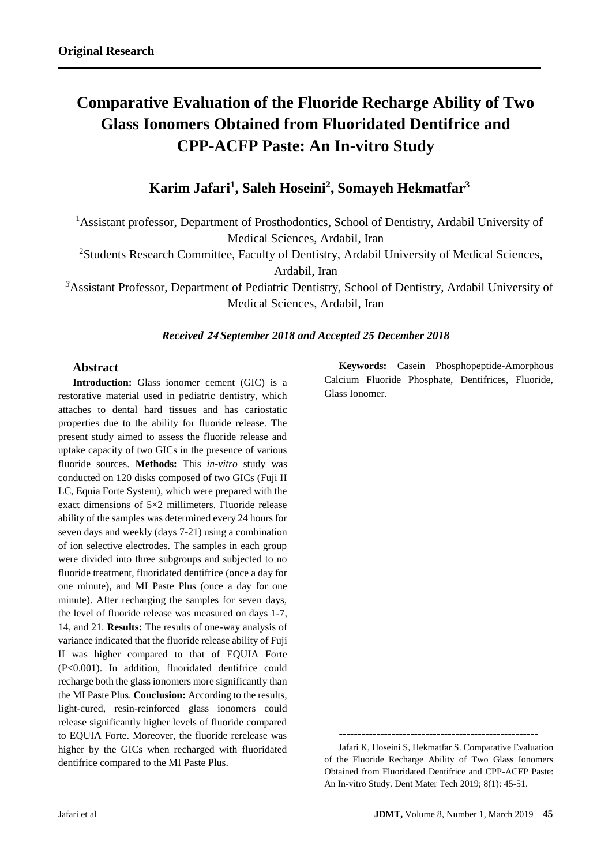# **Comparative Evaluation of the Fluoride Recharge Ability of Two Glass Ionomers Obtained from Fluoridated Dentifrice and CPP-ACFP Paste: An In-vitro Study**

# **Karim Jafari<sup>1</sup> , Saleh Hoseini<sup>2</sup> , Somayeh Hekmatfar 3**

<sup>1</sup>Assistant professor, Department of Prosthodontics, School of Dentistry, Ardabil University of Medical Sciences, Ardabil, Iran

<sup>2</sup>Students Research Committee, Faculty of Dentistry, Ardabil University of Medical Sciences,

Ardabil, Iran

*<sup>3</sup>*Assistant Professor, Department of Pediatric Dentistry, School of Dentistry, Ardabil University of Medical Sciences, Ardabil, Iran

#### *Received* **<sup>42</sup>** *September 2018 and Accepted 25 December 2018*

#### **Abstract**

**Introduction:** Glass ionomer cement (GIC) is a restorative material used in pediatric dentistry, which attaches to dental hard tissues and has cariostatic properties due to the ability for fluoride release. The present study aimed to assess the fluoride release and uptake capacity of two GICs in the presence of various fluoride sources. **Methods:** This *in-vitro* study was conducted on 120 disks composed of two GICs (Fuji II LC, Equia Forte System), which were prepared with the exact dimensions of 5×2 millimeters. Fluoride release ability of the samples was determined every 24 hours for seven days and weekly (days 7-21) using a combination of ion selective electrodes. The samples in each group were divided into three subgroups and subjected to no fluoride treatment, fluoridated dentifrice (once a day for one minute), and MI Paste Plus (once a day for one minute). After recharging the samples for seven days, the level of fluoride release was measured on days 1-7, 14, and 21. **Results:** The results of one-way analysis of variance indicated that the fluoride release ability of Fuji II was higher compared to that of EQUIA Forte (P<0.001). In addition, fluoridated dentifrice could recharge both the glass ionomers more significantly than the MI Paste Plus. **Conclusion:** According to the results, light-cured, resin-reinforced glass ionomers could release significantly higher levels of fluoride compared to EQUIA Forte. Moreover, the fluoride rerelease was higher by the GICs when recharged with fluoridated dentifrice compared to the MI Paste Plus.

**Keywords:** Casein Phosphopeptide-Amorphous Calcium Fluoride Phosphate, Dentifrices, Fluoride, Glass Ionomer.

-----------------------------------------------------

 Jafari K, Hoseini S, Hekmatfar S. Comparative Evaluation of the Fluoride Recharge Ability of Two Glass Ionomers Obtained from Fluoridated Dentifrice and CPP-ACFP Paste: An In-vitro Study. Dent Mater Tech 2019; 8(1): 45-51.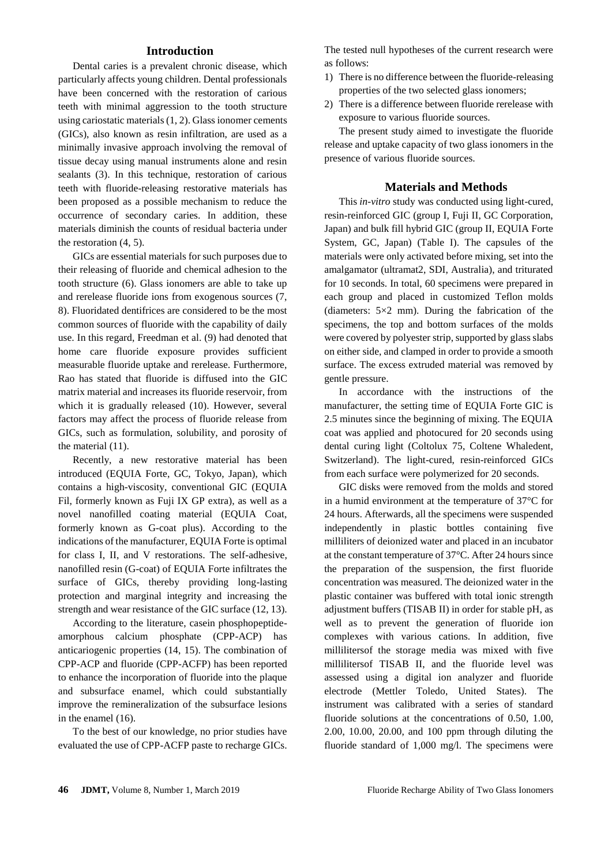## **Introduction**

Dental caries is a prevalent chronic disease, which particularly affects young children. Dental professionals have been concerned with the restoration of carious teeth with minimal aggression to the tooth structure using cariostatic materials (1, 2). Glass ionomer cements (GICs), also known as resin infiltration, are used as a minimally invasive approach involving the removal of tissue decay using manual instruments alone and resin sealants (3). In this technique, restoration of carious teeth with fluoride-releasing restorative materials has been proposed as a possible mechanism to reduce the occurrence of secondary caries. In addition, these materials diminish the counts of residual bacteria under the restoration (4, 5).

GICs are essential materials for such purposes due to their releasing of fluoride and chemical adhesion to the tooth structure (6). Glass ionomers are able to take up and rerelease fluoride ions from exogenous sources (7, 8). Fluoridated dentifrices are considered to be the most common sources of fluoride with the capability of daily use. In this regard, Freedman et al. (9) had denoted that home care fluoride exposure provides sufficient measurable fluoride uptake and rerelease. Furthermore, Rao has stated that fluoride is diffused into the GIC matrix material and increases its fluoride reservoir, from which it is gradually released (10). However, several factors may affect the process of fluoride release from GICs, such as formulation, solubility, and porosity of the material (11).

Recently, a new restorative material has been introduced (EQUIA Forte, GC, Tokyo, Japan), which contains a high-viscosity, conventional GIC (EQUIA Fil, formerly known as Fuji IX GP extra), as well as a novel nanofilled coating material (EQUIA Coat, formerly known as G-coat plus). According to the indications of the manufacturer, EQUIA Forte is optimal for class I, II, and V restorations. The self-adhesive, nanofilled resin (G-coat) of EQUIA Forte infiltrates the surface of GICs, thereby providing long-lasting protection and marginal integrity and increasing the strength and wear resistance of the GIC surface (12, 13).

According to the literature, casein phosphopeptideamorphous calcium phosphate (CPP-ACP) has anticariogenic properties (14, 15). The combination of CPP-ACP and fluoride (CPP-ACFP) has been reported to enhance the incorporation of fluoride into the plaque and subsurface enamel, which could substantially improve the remineralization of the subsurface lesions in the enamel (16).

To the best of our knowledge, no prior studies have evaluated the use of CPP-ACFP paste to recharge GICs. The tested null hypotheses of the current research were as follows:

- 1) There is no difference between the fluoride-releasing properties of the two selected glass ionomers;
- 2) There is a difference between fluoride rerelease with exposure to various fluoride sources.

The present study aimed to investigate the fluoride release and uptake capacity of two glass ionomers in the presence of various fluoride sources.

#### **Materials and Methods**

This *in-vitro* study was conducted using light-cured, resin-reinforced GIC (group I, Fuji II, GC Corporation, Japan) and bulk fill hybrid GIC (group II, EQUIA Forte System, GC, Japan) (Table I). The capsules of the materials were only activated before mixing, set into the amalgamator (ultramat2, SDI, Australia), and triturated for 10 seconds. In total, 60 specimens were prepared in each group and placed in customized Teflon molds (diameters:  $5\times2$  mm). During the fabrication of the specimens, the top and bottom surfaces of the molds were covered by polyester strip, supported by glass slabs on either side, and clamped in order to provide a smooth surface. The excess extruded material was removed by gentle pressure.

In accordance with the instructions of the manufacturer, the setting time of EQUIA Forte GIC is 2.5 minutes since the beginning of mixing. The EQUIA coat was applied and photocured for 20 seconds using dental curing light (Coltolux 75, Coltene Whaledent, Switzerland). The light-cured, resin-reinforced GICs from each surface were polymerized for 20 seconds.

GIC disks were removed from the molds and stored in a humid environment at the temperature of 37°C for 24 hours. Afterwards, all the specimens were suspended independently in plastic bottles containing five milliliters of deionized water and placed in an incubator at the constant temperature of 37°C. After 24 hours since the preparation of the suspension, the first fluoride concentration was measured. The deionized water in the plastic container was buffered with total ionic strength adjustment buffers (TISAB II) in order for stable pH, as well as to prevent the generation of fluoride ion complexes with various cations. In addition, five millilitersof the storage media was mixed with five millilitersof TISAB II, and the fluoride level was assessed using a digital ion analyzer and fluoride electrode (Mettler Toledo, United States). The instrument was calibrated with a series of standard fluoride solutions at the concentrations of 0.50, 1.00, 2.00, 10.00, 20.00, and 100 ppm through diluting the fluoride standard of 1,000 mg/l. The specimens were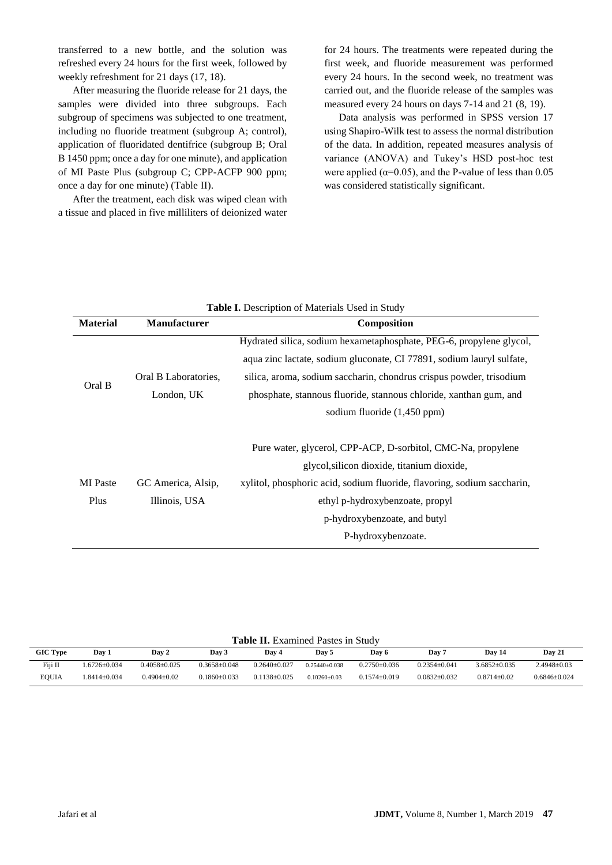transferred to a new bottle, and the solution was refreshed every 24 hours for the first week, followed by weekly refreshment for 21 days (17, 18).

After measuring the fluoride release for 21 days, the samples were divided into three subgroups. Each subgroup of specimens was subjected to one treatment, including no fluoride treatment (subgroup A; control), application of fluoridated dentifrice (subgroup B; Oral B 1450 ppm; once a day for one minute), and application of MI Paste Plus (subgroup C; CPP-ACFP 900 ppm; once a day for one minute) (Table II).

After the treatment, each disk was wiped clean with a tissue and placed in five milliliters of deionized water

for 24 hours. The treatments were repeated during the first week, and fluoride measurement was performed every 24 hours. In the second week, no treatment was carried out, and the fluoride release of the samples was measured every 24 hours on days 7-14 and 21 (8, 19).

Data analysis was performed in SPSS version 17 using Shapiro-Wilk test to assess the normal distribution of the data. In addition, repeated measures analysis of variance (ANOVA) and Tukey's HSD post-hoc test were applied ( $\alpha$ =0.05), and the P-value of less than 0.05 was considered statistically significant.

|                 |                      | <b>Table I.</b> Description of Materials Used in Study                  |  |  |  |  |
|-----------------|----------------------|-------------------------------------------------------------------------|--|--|--|--|
| <b>Material</b> | <b>Manufacturer</b>  | <b>Composition</b>                                                      |  |  |  |  |
|                 |                      | Hydrated silica, sodium hexametaphosphate, PEG-6, propylene glycol,     |  |  |  |  |
|                 |                      | aqua zinc lactate, sodium gluconate, CI 77891, sodium lauryl sulfate,   |  |  |  |  |
| Oral B          | Oral B Laboratories, | silica, aroma, sodium saccharin, chondrus crispus powder, trisodium     |  |  |  |  |
|                 | London, UK           | phosphate, stannous fluoride, stannous chloride, xanthan gum, and       |  |  |  |  |
|                 |                      | sodium fluoride (1,450 ppm)                                             |  |  |  |  |
|                 |                      |                                                                         |  |  |  |  |
|                 |                      | Pure water, glycerol, CPP-ACP, D-sorbitol, CMC-Na, propylene            |  |  |  |  |
|                 |                      | glycol, silicon dioxide, titanium dioxide,                              |  |  |  |  |
| <b>MI</b> Paste | GC America, Alsip,   | xylitol, phosphoric acid, sodium fluoride, flavoring, sodium saccharin, |  |  |  |  |
| Plus            | Illinois, USA        | ethyl p-hydroxybenzoate, propyl                                         |  |  |  |  |
|                 |                      | p-hydroxybenzoate, and butyl                                            |  |  |  |  |
|                 |                      | P-hydroxybenzoate.                                                      |  |  |  |  |

| <b>Table II.</b> Examined Pastes in Study |                    |                    |                    |                  |                    |                    |                    |                    |                   |
|-------------------------------------------|--------------------|--------------------|--------------------|------------------|--------------------|--------------------|--------------------|--------------------|-------------------|
| <b>GIC Type</b>                           | Day 1              | Dav 2              | Day 3              | Dav 4            | Day 5              | Day 6              | Dav 7              | Day 14             | Day 21            |
| Fiji II                                   | $1.6726 \pm 0.034$ | $0.4058 \pm 0.025$ | $0.3658 \pm 0.048$ | $0.2640+0.027$   | $0.25440+0.038$    | $0.2750 \pm 0.036$ | $0.2354 \pm 0.041$ | $3.6852 \pm 0.035$ | $2.4948 \pm 0.03$ |
| EOUIA                                     | $1.8414 \pm 0.034$ | $0.4904 + 0.02$    | $0.1860 \pm 0.033$ | $0.1138 + 0.025$ | $0.10260 \pm 0.03$ | $0.1574 \pm 0.019$ | $0.0832 \pm 0.032$ | $0.8714 + 0.02$    | $0.6846 + 0.024$  |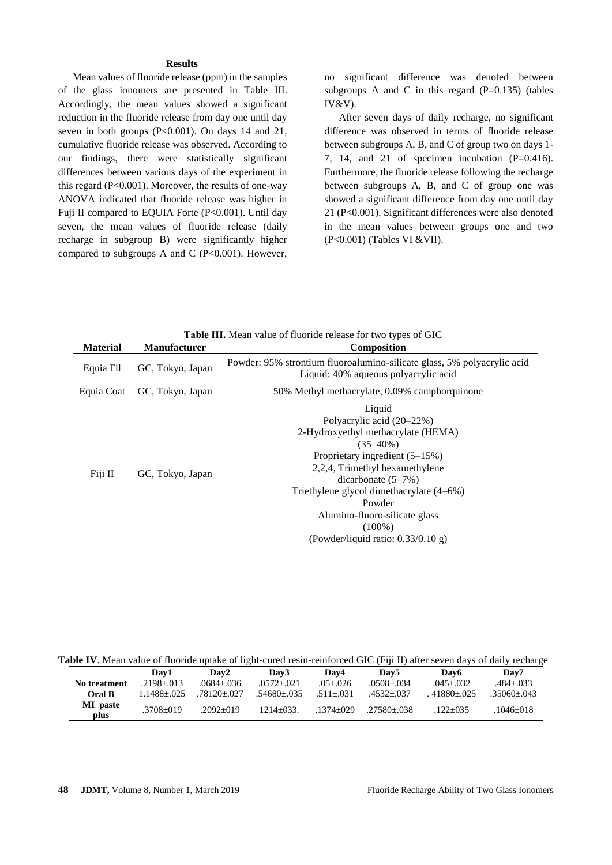#### **Results**

Mean values of fluoride release (ppm) in the samples of the glass ionomers are presented in Table III. Accordingly, the mean values showed a significant reduction in the fluoride release from day one until day seven in both groups  $(P<0.001)$ . On days 14 and 21, cumulative fluoride release was observed. According to our findings, there were statistically significant differences between various days of the experiment in this regard (P<0.001). Moreover, the results of one-way ANOVA indicated that fluoride release was higher in Fuji II compared to EQUIA Forte (P<0.001). Until day seven, the mean values of fluoride release (daily recharge in subgroup B) were significantly higher compared to subgroups A and C  $(P<0.001)$ . However,

no significant difference was denoted between subgroups A and C in this regard  $(P=0.135)$  (tables IV&V).

After seven days of daily recharge, no significant difference was observed in terms of fluoride release between subgroups A, B, and C of group two on days 1- 7, 14, and 21 of specimen incubation  $(P=0.416)$ . Furthermore, the fluoride release following the recharge between subgroups A, B, and C of group one was showed a significant difference from day one until day 21 (P<0.001). Significant differences were also denoted in the mean values between groups one and two (P<0.001) (Tables VI &VII).

|                 |                     | <b>Table III.</b> Mean value of fluoride release for two types of GIC                                                                                                                                                                                                                                                              |
|-----------------|---------------------|------------------------------------------------------------------------------------------------------------------------------------------------------------------------------------------------------------------------------------------------------------------------------------------------------------------------------------|
| <b>Material</b> | <b>Manufacturer</b> | <b>Composition</b>                                                                                                                                                                                                                                                                                                                 |
| Equia Fil       | GC, Tokyo, Japan    | Powder: 95% strontium fluoroalumino-silicate glass, 5% polyacrylic acid<br>Liquid: 40% aqueous polyacrylic acid                                                                                                                                                                                                                    |
| Equia Coat      | GC, Tokyo, Japan    | 50% Methyl methacrylate, 0.09% camphorquinone                                                                                                                                                                                                                                                                                      |
| Fiji II         | GC, Tokyo, Japan    | Liquid<br>Polyacrylic acid (20–22%)<br>2-Hydroxyethyl methacrylate (HEMA)<br>$(35-40\%)$<br>Proprietary ingredient $(5-15%)$<br>2,2,4, Trimethyl hexamethylene<br>dicarbonate $(5-7%)$<br>Triethylene glycol dimethacrylate (4–6%)<br>Powder<br>Alumino-fluoro-silicate glass<br>$(100\%)$<br>(Powder/liquid ratio: $0.33/0.10$ g) |

**Table IV**. Mean value of fluoride uptake of light-cured resin-reinforced GIC (Fiji II) after seven days of daily recharge

|                  | Dav1             | Dav2        | Dav3           | Dav4          | Dav5           | Dav <sub>6</sub> | Dav7            |
|------------------|------------------|-------------|----------------|---------------|----------------|------------------|-----------------|
| No treatment     | $.2198 + 013$    | .0684+.036  | $.0572 + .021$ | $.05 + .026$  | $.0508 + .034$ | $.045 + .032$    | .484+.033       |
| Oral B           | $1.1488 + 0.025$ | .78120+.027 | .54680+.035    | $.511 + .031$ | $.4532 + .037$ | $41880 + 025$    | $.35060 + .043$ |
| MI paste<br>plus | $.3708 + 019$    | $.2092+019$ | $1214 + 033$   | .1374+029     | $.27580 + 038$ | 122+035          | .1046+018       |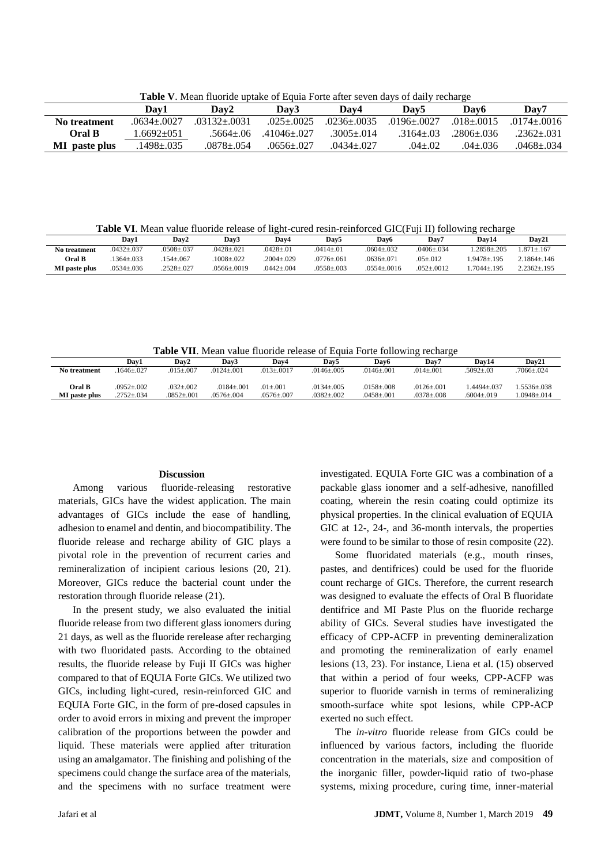**Table V**. Mean fluoride uptake of Equia Forte after seven days of daily recharge

|               | Dav1             | Dav2             | Dav3             | Dav4            | Dav5            | Dav6           | Dav7             |
|---------------|------------------|------------------|------------------|-----------------|-----------------|----------------|------------------|
| No treatment  | $.0634 + .0027$  | $.03132 + .0031$ | $.025 \pm .0025$ | $.0236 + .0035$ | $.0196 + .0027$ | $.018 + .0015$ | $.0174 + .0016$  |
| <b>Oral B</b> | $.6692+051$      | .5664+.06        | $.41046 + .027$  | $3005 + 014$    | $.3164 + .03$   | 2806+.036      | $.2362 + .031$   |
| MI paste plus | $1498 \pm 0.035$ | .0878±.054       | $.0656 + .027$   | .0434+.027      | $04 + 02$       | $.04 + .036$   | $.0468 \pm .034$ |

**Table VI**. Mean value fluoride release of light-cured resin-reinforced GIC(Fuji II) following recharge

| $.0432 + .037$<br>$.0428 \pm .021$<br>$.2858 + .205$<br>$.0508 + .037$<br>$0428 + 01$<br>$.0414 + .01$<br>No treatment<br>$.0604 + .032$<br>$0406 + 034$<br>Oral B<br>$1008 + 022$<br>$2004 + 029$<br>$.0776 + .061$<br>1.9478+195<br>$1364 + 033$<br>$154 + 067$<br>$.05 \pm .012$<br>$.0636 + .071$ |               | Dav1             | Dav2             | Dav3        | Dav4             | Dav5             | Dav6            | Dav7           | Dav14          | Dav21              |
|-------------------------------------------------------------------------------------------------------------------------------------------------------------------------------------------------------------------------------------------------------------------------------------------------------|---------------|------------------|------------------|-------------|------------------|------------------|-----------------|----------------|----------------|--------------------|
|                                                                                                                                                                                                                                                                                                       |               |                  |                  |             |                  |                  |                 |                |                | $.871 + .167$      |
|                                                                                                                                                                                                                                                                                                       |               |                  |                  |             |                  |                  |                 |                |                | 2.1864+.146        |
|                                                                                                                                                                                                                                                                                                       | MI paste plus | $.0534 \pm .036$ | $.2528 \pm .027$ | .0566±.0019 | $.0442 \pm .004$ | $.0558 \pm .003$ | $.0554 + .0016$ | $.052 + .0012$ | $.7044 + .195$ | $2.2362 \pm 0.195$ |

**Table VII**. Mean value fluoride release of Equia Forte following recharge

|                      | Dav1             | Dav2               | Dav3           | Dav4           | Dav <sub>5</sub> | Dav6           | Dav7           | Dav14          | Dav21          |
|----------------------|------------------|--------------------|----------------|----------------|------------------|----------------|----------------|----------------|----------------|
| No treatment         | $1646 + 027$     | $015 + 007$        | $.0124 + .001$ | $.013 + .0017$ | $.0146 + .005$   | $.0146 + .001$ | $.014 + .001$  | $.5092 + .03$  | $7066 + 024$   |
| Oral B               | $.0952 \pm .002$ | $.032 \pm .002$    | $.0184 + .001$ | $.01 + .001$   | $.0134 + .005$   | $.0158 + .008$ | $.0126 + .001$ | $.4494 + .037$ | $.5536 + .038$ |
| <b>MI</b> paste plus | $.2752 + .034$   | $.0852 {\pm} .001$ | $.0576 + .004$ | $.0576 + .007$ | $.0382 + .002$   | $.0458 + .001$ | $.0378 + .008$ | $.6004 + .019$ | $.0948 + .014$ |

#### **Discussion**

Among various fluoride-releasing restorative materials, GICs have the widest application. The main advantages of GICs include the ease of handling, adhesion to enamel and dentin, and biocompatibility. The fluoride release and recharge ability of GIC plays a pivotal role in the prevention of recurrent caries and remineralization of incipient carious lesions (20, 21). Moreover, GICs reduce the bacterial count under the restoration through fluoride release (21).

In the present study, we also evaluated the initial fluoride release from two different glass ionomers during 21 days, as well as the fluoride rerelease after recharging with two fluoridated pasts. According to the obtained results, the fluoride release by Fuji II GICs was higher compared to that of EQUIA Forte GICs. We utilized two GICs, including light-cured, resin-reinforced GIC and EQUIA Forte GIC, in the form of pre-dosed capsules in order to avoid errors in mixing and prevent the improper calibration of the proportions between the powder and liquid. These materials were applied after trituration using an amalgamator. The finishing and polishing of the specimens could change the surface area of the materials, and the specimens with no surface treatment were investigated. EQUIA Forte GIC was a combination of a packable glass ionomer and a self-adhesive, nanofilled coating, wherein the resin coating could optimize its physical properties. In the clinical evaluation of EQUIA GIC at 12-, 24-, and 36-month intervals, the properties were found to be similar to those of resin composite (22).

Some fluoridated materials (e.g., mouth rinses, pastes, and dentifrices) could be used for the fluoride count recharge of GICs. Therefore, the current research was designed to evaluate the effects of Oral B fluoridate dentifrice and MI Paste Plus on the fluoride recharge ability of GICs. Several studies have investigated the efficacy of CPP-ACFP in preventing demineralization and promoting the remineralization of early enamel lesions (13, 23). For instance, Liena et al. (15) observed that within a period of four weeks, CPP-ACFP was superior to fluoride varnish in terms of remineralizing smooth-surface white spot lesions, while CPP-ACP exerted no such effect.

The *in-vitro* fluoride release from GICs could be influenced by various factors, including the fluoride concentration in the materials, size and composition of the inorganic filler, powder-liquid ratio of two-phase systems, mixing procedure, curing time, inner-material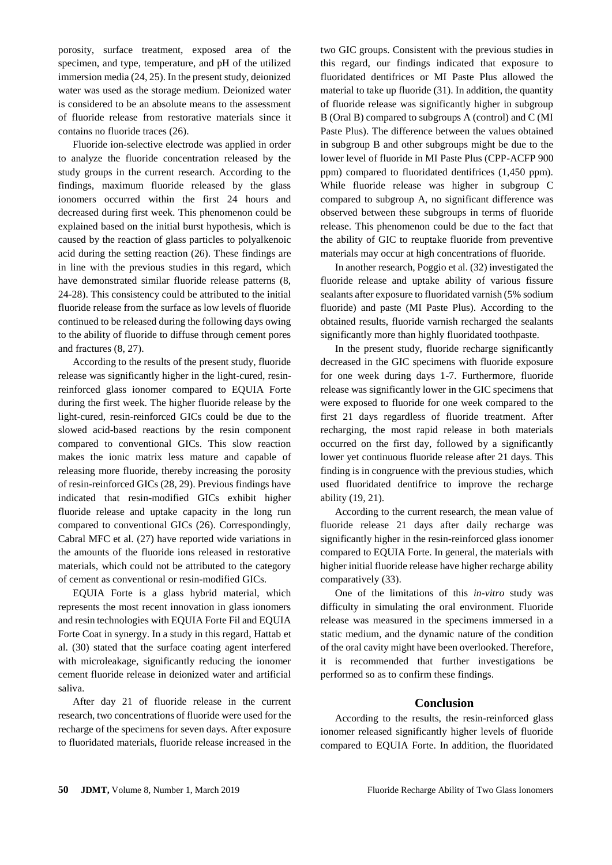porosity, surface treatment, exposed area of the specimen, and type, temperature, and pH of the utilized immersion media (24, 25). In the present study, deionized water was used as the storage medium. Deionized water is considered to be an absolute means to the assessment of fluoride release from restorative materials since it contains no fluoride traces (26).

Fluoride ion-selective electrode was applied in order to analyze the fluoride concentration released by the study groups in the current research. According to the findings, maximum fluoride released by the glass ionomers occurred within the first 24 hours and decreased during first week. This phenomenon could be explained based on the initial burst hypothesis, which is caused by the reaction of glass particles to polyalkenoic acid during the setting reaction (26). These findings are in line with the previous studies in this regard, which have demonstrated similar fluoride release patterns (8, 24-28). This consistency could be attributed to the initial fluoride release from the surface as low levels of fluoride continued to be released during the following days owing to the ability of fluoride to diffuse through cement pores and fractures (8, 27).

According to the results of the present study, fluoride release was significantly higher in the light-cured, resinreinforced glass ionomer compared to EQUIA Forte during the first week. The higher fluoride release by the light-cured, resin-reinforced GICs could be due to the slowed acid-based reactions by the resin component compared to conventional GICs. This slow reaction makes the ionic matrix less mature and capable of releasing more fluoride, thereby increasing the porosity of resin-reinforced GICs (28, 29). Previous findings have indicated that resin-modified GICs exhibit higher fluoride release and uptake capacity in the long run compared to conventional GICs (26). Correspondingly, Cabral MFC et al. (27) have reported wide variations in the amounts of the fluoride ions released in restorative materials, which could not be attributed to the category of cement as conventional or resin-modified GICs.

EQUIA Forte is a glass hybrid material, which represents the most recent innovation in glass ionomers and resin technologies with EQUIA Forte Fil and EQUIA Forte Coat in synergy. In a study in this regard, Hattab et al. (30) stated that the surface coating agent interfered with microleakage, significantly reducing the ionomer cement fluoride release in deionized water and artificial saliva.

After day 21 of fluoride release in the current research, two concentrations of fluoride were used for the recharge of the specimens for seven days. After exposure to fluoridated materials, fluoride release increased in the two GIC groups. Consistent with the previous studies in this regard, our findings indicated that exposure to fluoridated dentifrices or MI Paste Plus allowed the material to take up fluoride (31). In addition, the quantity of fluoride release was significantly higher in subgroup B (Oral B) compared to subgroups A (control) and C (MI Paste Plus). The difference between the values obtained in subgroup B and other subgroups might be due to the lower level of fluoride in MI Paste Plus (CPP-ACFP 900 ppm) compared to fluoridated dentifrices (1,450 ppm). While fluoride release was higher in subgroup C compared to subgroup A, no significant difference was observed between these subgroups in terms of fluoride release. This phenomenon could be due to the fact that the ability of GIC to reuptake fluoride from preventive materials may occur at high concentrations of fluoride.

In another research, Poggio et al. (32) investigated the fluoride release and uptake ability of various fissure sealants after exposure to fluoridated varnish (5% sodium fluoride) and paste (MI Paste Plus). According to the obtained results, fluoride varnish recharged the sealants significantly more than highly fluoridated toothpaste.

In the present study, fluoride recharge significantly decreased in the GIC specimens with fluoride exposure for one week during days 1-7. Furthermore, fluoride release was significantly lower in the GIC specimens that were exposed to fluoride for one week compared to the first 21 days regardless of fluoride treatment. After recharging, the most rapid release in both materials occurred on the first day, followed by a significantly lower yet continuous fluoride release after 21 days. This finding is in congruence with the previous studies, which used fluoridated dentifrice to improve the recharge ability (19, 21).

According to the current research, the mean value of fluoride release 21 days after daily recharge was significantly higher in the resin-reinforced glass ionomer compared to EQUIA Forte. In general, the materials with higher initial fluoride release have higher recharge ability comparatively (33).

One of the limitations of this *in-vitro* study was difficulty in simulating the oral environment. Fluoride release was measured in the specimens immersed in a static medium, and the dynamic nature of the condition of the oral cavity might have been overlooked. Therefore, it is recommended that further investigations be performed so as to confirm these findings.

## **Conclusion**

According to the results, the resin-reinforced glass ionomer released significantly higher levels of fluoride compared to EQUIA Forte. In addition, the fluoridated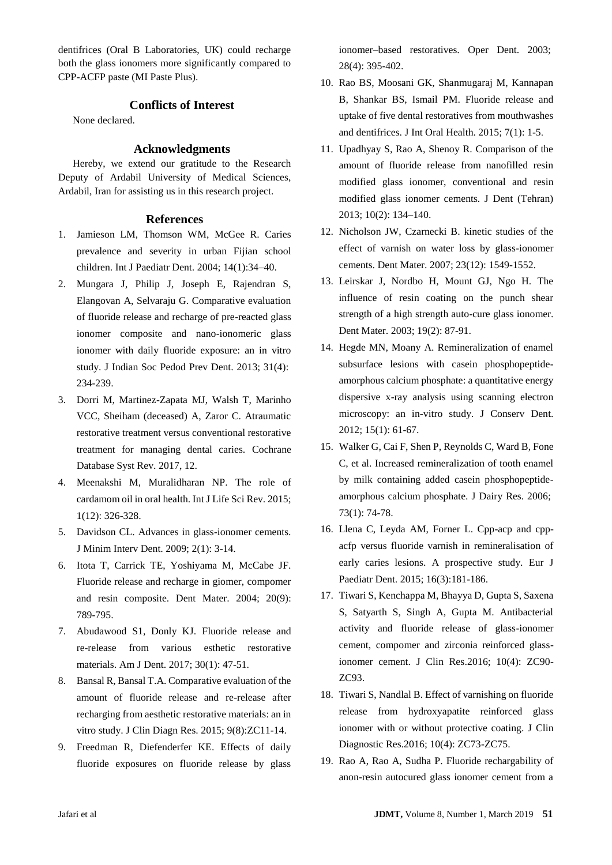dentifrices (Oral B Laboratories, UK) could recharge both the glass ionomers more significantly compared to CPP-ACFP paste (MI Paste Plus).

# **Conflicts of Interest**

None declared.

#### **Acknowledgments**

Hereby, we extend our gratitude to the Research Deputy of Ardabil University of Medical Sciences, Ardabil, Iran for assisting us in this research project.

#### **References**

- 1. Jamieson LM, Thomson WM, McGee R. Caries prevalence and severity in urban Fijian school children. Int J Paediatr Dent. 2004; 14(1):34–40.
- 2. Mungara J, Philip J, Joseph E, Rajendran S, Elangovan A, Selvaraju G. Comparative evaluation of fluoride release and recharge of pre-reacted glass ionomer composite and nano-ionomeric glass ionomer with daily fluoride exposure: an in vitro study. J Indian Soc Pedod Prev Dent. 2013; 31(4): 234-239.
- 3. Dorri M, Martinez-Zapata MJ, Walsh T, Marinho VCC, Sheiham (deceased) A, Zaror C. Atraumatic restorative treatment versus conventional restorative treatment for managing dental caries. [Cochrane](https://www.ncbi.nlm.nih.gov/pubmed/29284075)  [Database Syst Rev.](https://www.ncbi.nlm.nih.gov/pubmed/29284075) 2017, 12.
- 4. Meenakshi M, Muralidharan NP. The role of cardamom oil in oral health. Int J Life Sci Rev. 2015; 1(12): 326-328.
- 5. Davidson CL. Advances in glass-ionomer cements. J Minim Interv Dent. 2009; 2(1): 3-14.
- 6. Itota T, Carrick TE, Yoshiyama M, McCabe JF. Fluoride release and recharge in giomer, compomer and resin composite. Dent Mater. 2004; 20(9): 789-795.
- 7. Abudawood S1, Donly KJ. Fluoride release and re-release from various esthetic restorative materials. Am J Dent. 2017; 30(1): 47-51.
- 8. Bansal R, Bansal T.A. Comparative evaluation of the amount of fluoride release and re-release after recharging from aesthetic restorative materials: an in vitro study. J Clin Diagn Res. 2015; 9(8):ZC11-14.
- 9. Freedman R, Diefenderfer KE. Effects of daily fluoride exposures on fluoride release by glass

ionomer–based restoratives. Oper Dent. 2003; 28(4): 395-402.

- 10. Rao BS, Moosani GK, Shanmugaraj M, Kannapan B, Shankar BS, Ismail PM. Fluoride release and uptake of five dental restoratives from mouthwashes and dentifrices. J Int Oral Health. 2015; 7(1): 1-5.
- 11. Upadhyay S, Rao A, Shenoy R. Comparison of the amount of fluoride release from nanofilled resin modified glass ionomer, conventional and resin modified glass ionomer cements. J Dent (Tehran) 2013; 10(2): 134–140.
- 12. Nicholson JW, Czarnecki B. kinetic studies of the effect of varnish on water loss by glass-ionomer cements. Dent Mater. 2007; 23(12): 1549-1552.
- 13. Leirskar J, Nordbo H, Mount GJ, Ngo H. The influence of resin coating on the punch shear strength of a high strength auto-cure glass ionomer. Dent Mater. 2003; 19(2): 87-91.
- 14. Hegde MN, Moany A. Remineralization of enamel subsurface lesions with casein phosphopeptideamorphous calcium phosphate: a quantitative energy dispersive x-ray analysis using scanning electron microscopy: an in-vitro study. J Conserv Dent. 2012; 15(1): 61-67.
- 15. Walker G, Cai F, Shen P, Reynolds C, Ward B, Fone C, et al. Increased remineralization of tooth enamel by milk containing added casein phosphopeptideamorphous calcium phosphate. J Dairy Res. 2006; 73(1): 74-78.
- 16. Llena C, Leyda AM, Forner L. Cpp-acp and cppacfp versus fluoride varnish in remineralisation of early caries lesions. A prospective study. Eur J Paediatr Dent. 2015; 16(3):181-186.
- 17. Tiwari S, Kenchappa M, Bhayya D, Gupta S, Saxena S, Satyarth S, Singh A, Gupta M. Antibacterial activity and fluoride release of glass-ionomer cement, compomer and zirconia reinforced glassionomer cement. J Clin Res.2016; 10(4): ZC90- ZC93.
- 18. Tiwari S, Nandlal B. Effect of varnishing on fluoride release from hydroxyapatite reinforced glass ionomer with or without protective coating. J Clin Diagnostic Res.2016; 10(4): ZC73-ZC75.
- 19. Rao A, Rao A, Sudha P. Fluoride rechargability of anon-resin autocured glass ionomer cement from a